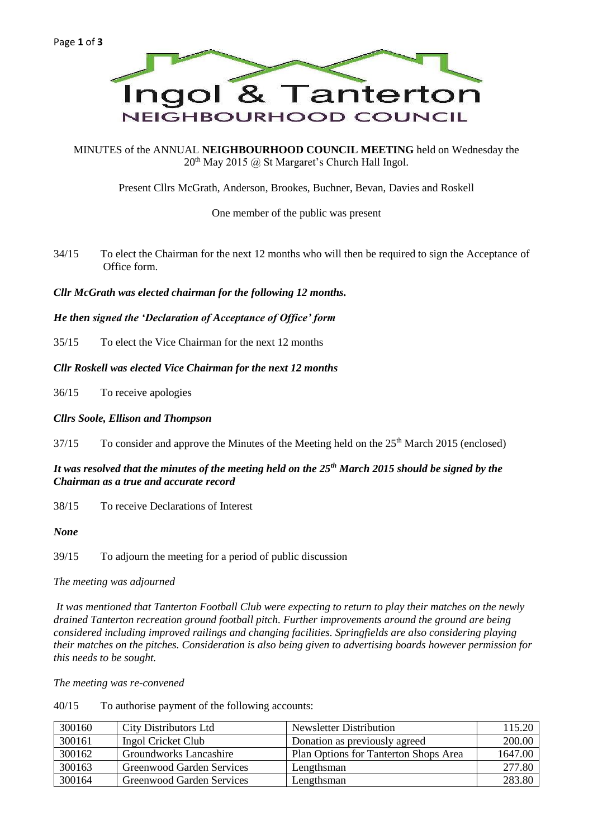

MINUTES of the ANNUAL **NEIGHBOURHOOD COUNCIL MEETING** held on Wednesday the  $20<sup>th</sup>$  May 2015 @ St Margaret's Church Hall Ingol.

Present Cllrs McGrath, Anderson, Brookes, Buchner, Bevan, Davies and Roskell

One member of the public was present

34/15 To elect the Chairman for the next 12 months who will then be required to sign the Acceptance of Office form.

*Cllr McGrath was elected chairman for the following 12 months.*

### *He then signed the 'Declaration of Acceptance of Office' form*

35/15 To elect the Vice Chairman for the next 12 months

# *Cllr Roskell was elected Vice Chairman for the next 12 months*

36/15 To receive apologies

### *Cllrs Soole, Ellison and Thompson*

 $37/15$  To consider and approve the Minutes of the Meeting held on the  $25<sup>th</sup>$  March 2015 (enclosed)

## *It was resolved that the minutes of the meeting held on the 25th March 2015 should be signed by the Chairman as a true and accurate record*

38/15 To receive Declarations of Interest

*None*

39/15 To adjourn the meeting for a period of public discussion

*The meeting was adjourned*

*It was mentioned that Tanterton Football Club were expecting to return to play their matches on the newly drained Tanterton recreation ground football pitch. Further improvements around the ground are being considered including improved railings and changing facilities. Springfields are also considering playing their matches on the pitches. Consideration is also being given to advertising boards however permission for this needs to be sought.*

*The meeting was re-convened*

40/15 To authorise payment of the following accounts:

| 300160 | <b>City Distributors Ltd</b> | Newsletter Distribution               | 115.20  |
|--------|------------------------------|---------------------------------------|---------|
| 300161 | Ingol Cricket Club           | Donation as previously agreed         | 200.00  |
| 300162 | Groundworks Lancashire       | Plan Options for Tanterton Shops Area | 1647.00 |
| 300163 | Greenwood Garden Services    | Lengthsman                            | 277.80  |
| 300164 | Greenwood Garden Services    | Lengthsman                            | 283.80  |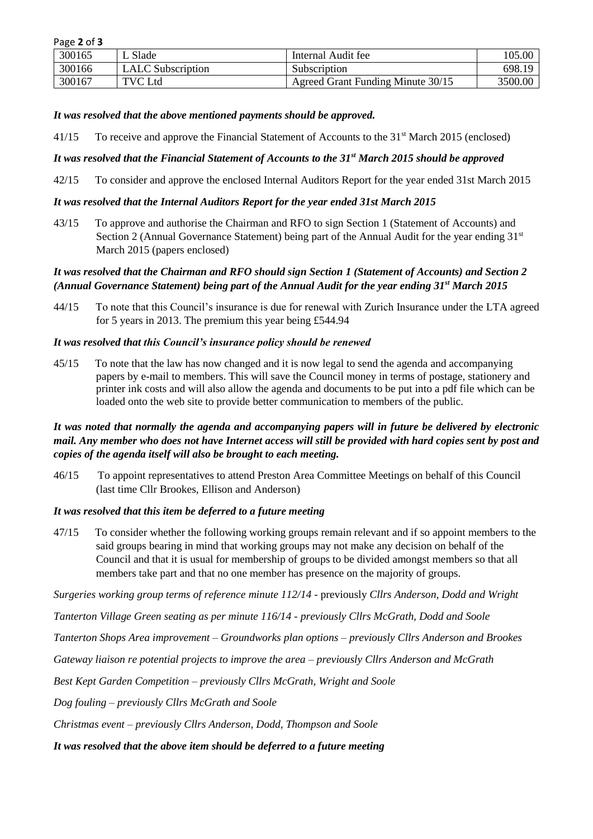| Page 2 of 3 |  |  |  |
|-------------|--|--|--|
|-------------|--|--|--|

| 300165 | Slade                    | Internal Audit fee                | 105.00  |
|--------|--------------------------|-----------------------------------|---------|
| 300166 | <b>LALC</b> Subscription | Subscription                      | 698.19  |
| 300167 | TVC Ltd                  | Agreed Grant Funding Minute 30/15 | 3500.00 |

### *It was resolved that the above mentioned payments should be approved.*

41/15 To receive and approve the Financial Statement of Accounts to the 31<sup>st</sup> March 2015 (enclosed)

# *It was resolved that the Financial Statement of Accounts to the 31st March 2015 should be approved*

42/15 To consider and approve the enclosed Internal Auditors Report for the year ended 31st March 2015

## *It was resolved that the Internal Auditors Report for the year ended 31st March 2015*

43/15 To approve and authorise the Chairman and RFO to sign Section 1 (Statement of Accounts) and Section 2 (Annual Governance Statement) being part of the Annual Audit for the year ending  $31<sup>st</sup>$ March 2015 (papers enclosed)

## *It was resolved that the Chairman and RFO should sign Section 1 (Statement of Accounts) and Section 2 (Annual Governance Statement) being part of the Annual Audit for the year ending 31st March 2015*

44/15 To note that this Council's insurance is due for renewal with Zurich Insurance under the LTA agreed for 5 years in 2013. The premium this year being £544.94

### *It was resolved that this Council's insurance policy should be renewed*

45/15 To note that the law has now changed and it is now legal to send the agenda and accompanying papers by e-mail to members. This will save the Council money in terms of postage, stationery and printer ink costs and will also allow the agenda and documents to be put into a pdf file which can be loaded onto the web site to provide better communication to members of the public.

# *It was noted that normally the agenda and accompanying papers will in future be delivered by electronic mail. Any member who does not have Internet access will still be provided with hard copies sent by post and copies of the agenda itself will also be brought to each meeting.*

46/15 To appoint representatives to attend Preston Area Committee Meetings on behalf of this Council (last time Cllr Brookes, Ellison and Anderson)

### *It was resolved that this item be deferred to a future meeting*

47/15 To consider whether the following working groups remain relevant and if so appoint members to the said groups bearing in mind that working groups may not make any decision on behalf of the Council and that it is usual for membership of groups to be divided amongst members so that all members take part and that no one member has presence on the majority of groups.

*Surgeries working group terms of reference minute 112/14* - previously *Cllrs Anderson, Dodd and Wright*

*Tanterton Village Green seating as per minute 116/14 - previously Cllrs McGrath, Dodd and Soole*

*Tanterton Shops Area improvement – Groundworks plan options – previously Cllrs Anderson and Brookes* 

*Gateway liaison re potential projects to improve the area – previously Cllrs Anderson and McGrath* 

*Best Kept Garden Competition – previously Cllrs McGrath, Wright and Soole* 

*Dog fouling – previously Cllrs McGrath and Soole* 

*Christmas event – previously Cllrs Anderson, Dodd, Thompson and Soole* 

*It was resolved that the above item should be deferred to a future meeting*